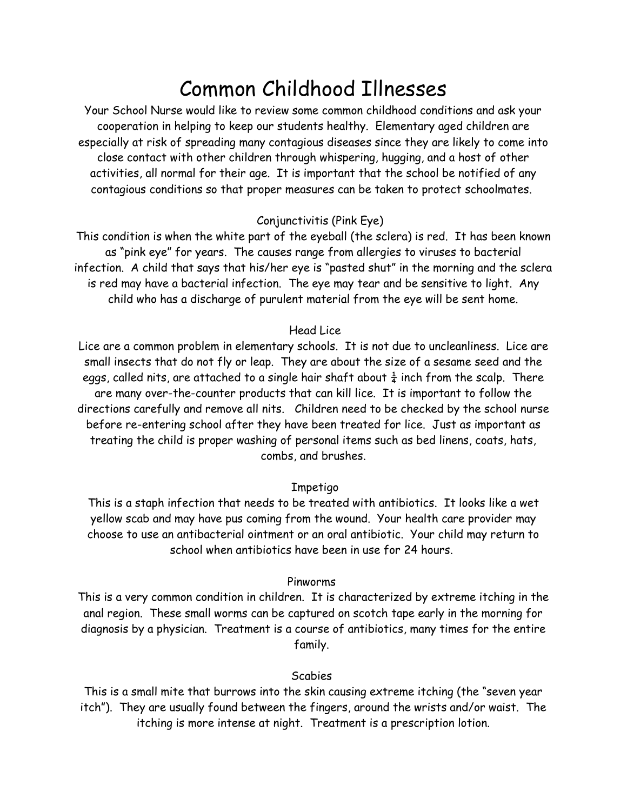# Common Childhood Illnesses

Your School Nurse would like to review some common childhood conditions and ask your cooperation in helping to keep our students healthy. Elementary aged children are especially at risk of spreading many contagious diseases since they are likely to come into close contact with other children through whispering, hugging, and a host of other activities, all normal for their age. It is important that the school be notified of any contagious conditions so that proper measures can be taken to protect schoolmates.

## Conjunctivitis (Pink Eye)

This condition is when the white part of the eyeball (the sclera) is red. It has been known as "pink eye" for years. The causes range from allergies to viruses to bacterial infection. A child that says that his/her eye is "pasted shut" in the morning and the sclera is red may have a bacterial infection. The eye may tear and be sensitive to light. Any child who has a discharge of purulent material from the eye will be sent home.

#### Head Lice

Lice are a common problem in elementary schools. It is not due to uncleanliness. Lice are small insects that do not fly or leap. They are about the size of a sesame seed and the eggs, called nits, are attached to a single hair shaft about  $\frac{1}{4}$  inch from the scalp. There are many over-the-counter products that can kill lice. It is important to follow the directions carefully and remove all nits. Children need to be checked by the school nurse before re-entering school after they have been treated for lice. Just as important as treating the child is proper washing of personal items such as bed linens, coats, hats, combs, and brushes.

#### Impetigo

This is a staph infection that needs to be treated with antibiotics. It looks like a wet yellow scab and may have pus coming from the wound. Your health care provider may choose to use an antibacterial ointment or an oral antibiotic. Your child may return to school when antibiotics have been in use for 24 hours.

#### Pinworms

This is a very common condition in children. It is characterized by extreme itching in the anal region. These small worms can be captured on scotch tape early in the morning for diagnosis by a physician. Treatment is a course of antibiotics, many times for the entire family.

# Scabies

This is a small mite that burrows into the skin causing extreme itching (the "seven year itch"). They are usually found between the fingers, around the wrists and/or waist. The itching is more intense at night. Treatment is a prescription lotion.